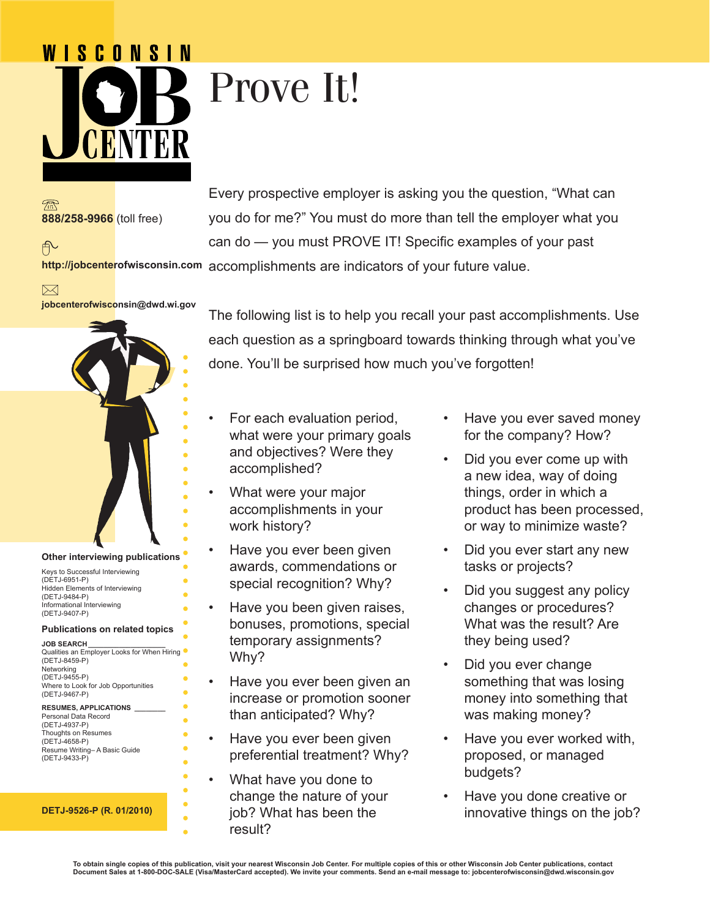## WISCONSIN Prove It!

 $\mathcal{P}$ **888/258-9966** (toll free)

 $\boxtimes$ 

舟

**http://jobcenterofwisconsin.com** accomplishments are indicators of your future value. Every prospective employer is asking you the question, "What can you do for me?" You must do more than tell the employer what you can do — you must PROVE IT! Specific examples of your past

**jobcenterofwisconsin@dwd.wi.gov**

## **Other interviewing publications**

 $\bullet$ 

 $\bullet$ ŏ  $\bullet$ 

Keys to Successful Interviewing (DETJ-6951-P) Hidden Elements of Interviewing (DETJ-9484-P) Informational Interviewing (DETJ-9407-P)

## **Publications on related topics**

Personal Data Record (DETJ-4937-P) Thoughts on Resumes (DETJ-4658-P) Resume Writing– A Basic Guide (DETJ-9433-P)

## **DETJ-9526-P (R. 01/2010)**

The following list is to help you recall your past accomplishments. Use each question as a springboard towards thinking through what you've done. You'll be surprised how much you've forgotten!

- For each evaluation period, what were your primary goals and objectives? Were they accomplished?
- What were your major accomplishments in your work history?
- Have you ever been given awards, commendations or special recognition? Why?
- Have you been given raises, bonuses, promotions, special temporary assignments? Why?
- Have you ever been given an increase or promotion sooner than anticipated? Why?
- Have you ever been given preferential treatment? Why?
- What have you done to change the nature of your job? What has been the result?
- Have you ever saved money for the company? How?
- Did you ever come up with a new idea, way of doing things, order in which a product has been processed, or way to minimize waste?
- Did you ever start any new tasks or projects?
- Did you suggest any policy changes or procedures? What was the result? Are they being used?
- Did you ever change something that was losing money into something that was making money?
- Have you ever worked with, proposed, or managed budgets?
- Have you done creative or innovative things on the job?